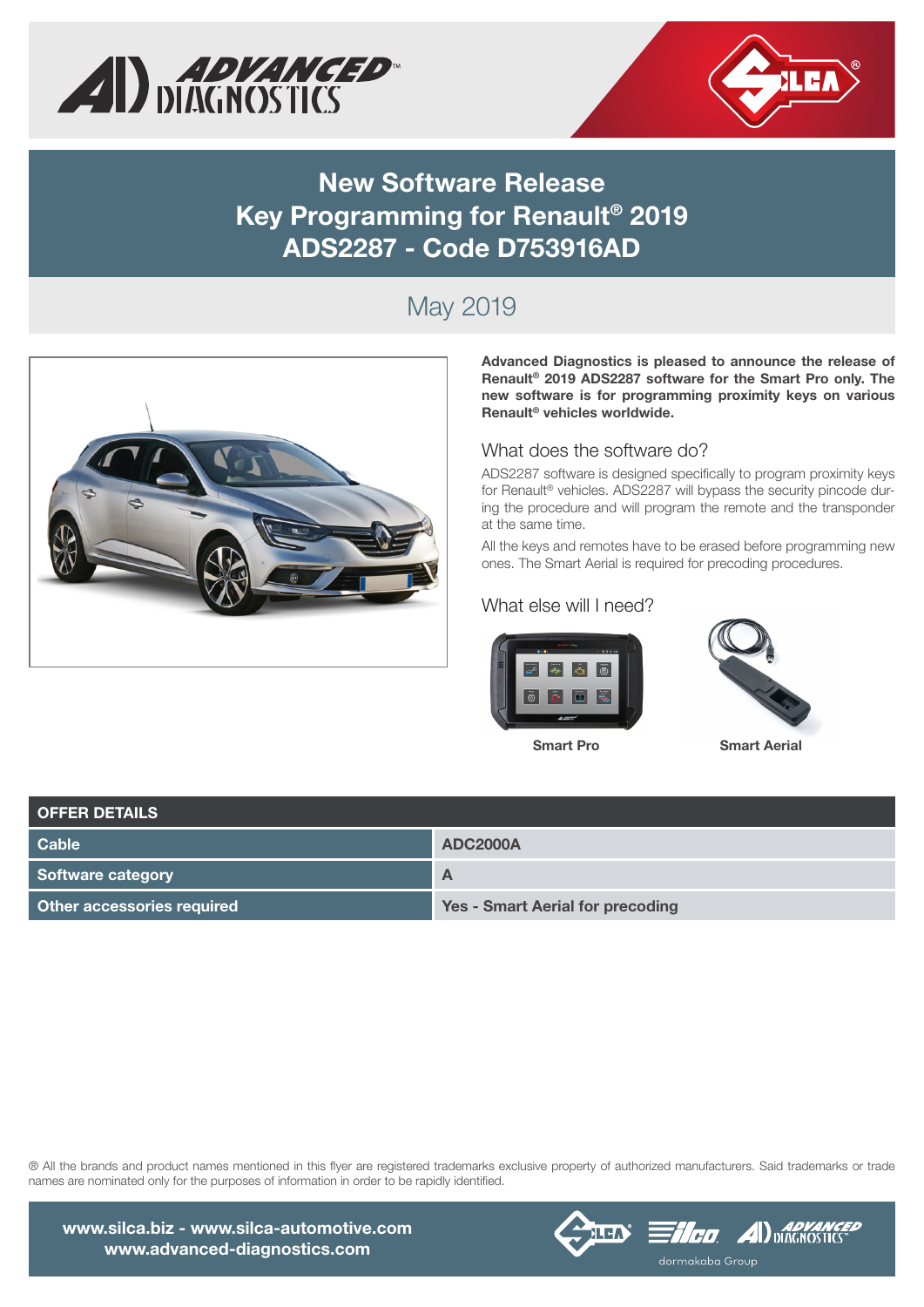



### **New Software Release Key Programming for Renault® 2019 ADS2287 - Code D753916AD**

## May 2019



**Advanced Diagnostics is pleased to announce the release of Renault® 2019 ADS2287 software for the Smart Pro only. The new software is for programming proximity keys on various Renault® vehicles worldwide.**

#### What does the software do?

ADS2287 software is designed specifically to program proximity keys for Renault® vehicles. ADS2287 will bypass the security pincode during the procedure and will program the remote and the transponder at the same time.

All the keys and remotes have to be erased before programming new ones. The Smart Aerial is required for precoding procedures.

#### What else will I need?





| <b>OFFER DETAILS</b>       |                                         |  |  |  |  |
|----------------------------|-----------------------------------------|--|--|--|--|
| Cable                      | <b>ADC2000A</b>                         |  |  |  |  |
| Software category          | $\mathbf{A}$                            |  |  |  |  |
| Other accessories required | <b>Yes - Smart Aerial for precoding</b> |  |  |  |  |

® All the brands and product names mentioned in this flyer are registered trademarks exclusive property of authorized manufacturers. Said trademarks or trade names are nominated only for the purposes of information in order to be rapidly identified.